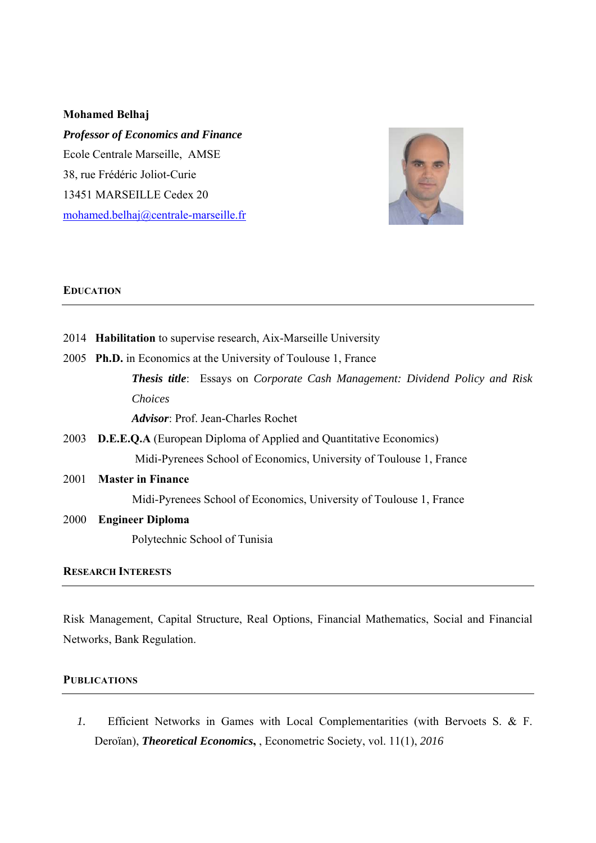#### **Mohamed Belhaj**

*Professor of Economics and Finance*  Ecole Centrale Marseille, AMSE 38, rue Frédéric Joliot-Curie 13451 MARSEILLE Cedex 20 mohamed.belhaj@centrale-marseille.fr



#### **EDUCATION**

- 2014 **Habilitation** to supervise research, Aix-Marseille University
- 2005 **Ph.D.** in Economics at the University of Toulouse 1, France *Thesis title*: Essays on *Corporate Cash Management: Dividend Policy and Risk Choices Advisor*: Prof. Jean-Charles Rochet
- 2003 **D.E.E.Q.A** (European Diploma of Applied and Quantitative Economics) Midi-Pyrenees School of Economics, University of Toulouse 1, France
- 2001 **Master in Finance**

Midi-Pyrenees School of Economics, University of Toulouse 1, France

#### 2000 **Engineer Diploma**

Polytechnic School of Tunisia

# **RESEARCH INTERESTS**

Risk Management, Capital Structure, Real Options, Financial Mathematics, Social and Financial Networks, Bank Regulation.

#### **PUBLICATIONS**

*1.* Efficient Networks in Games with Local Complementarities (with Bervoets S. & F. Deroïan), *Theoretical Economics***,** , Econometric Society, vol. 11(1), *2016*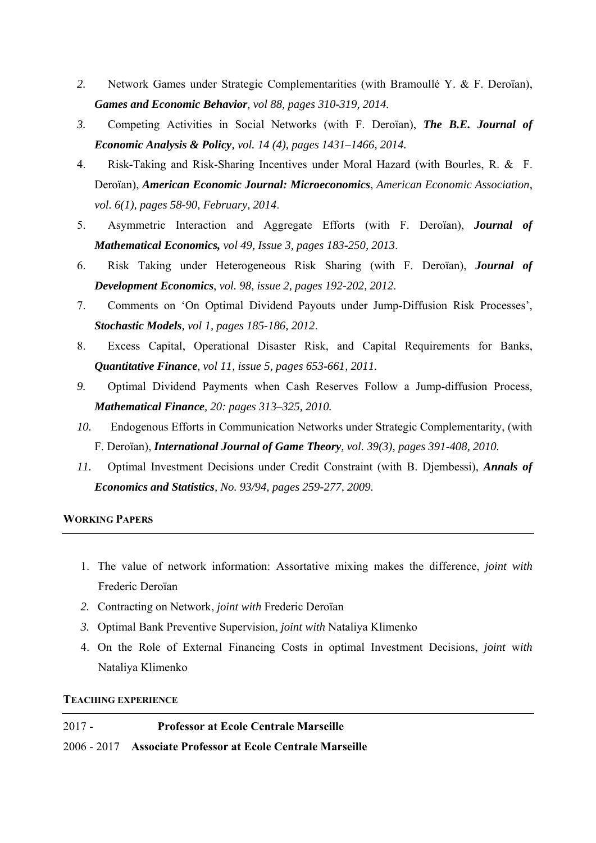- *2.* Network Games under Strategic Complementarities (with Bramoullé Y. & F. Deroïan), *Games and Economic Behavior, vol 88, pages 310-319, 2014.*
- *3.* Competing Activities in Social Networks (with F. Deroïan), *The B.E. Journal of Economic Analysis & Policy, vol. 14 (4), pages 1431–1466, 2014.*
- 4. Risk-Taking and Risk-Sharing Incentives under Moral Hazard (with Bourles, R. & F. Deroïan), *American Economic Journal: Microeconomics*, *American Economic Association*, *vol. 6(1), pages 58-90, February, 2014*.
- 5. Asymmetric Interaction and Aggregate Efforts (with F. Deroïan), *Journal of Mathematical Economics, vol 49, Issue 3, pages 183-250, 2013*.
- 6. Risk Taking under Heterogeneous Risk Sharing (with F. Deroïan), *Journal of Development Economics*, *vol. 98, issue 2, pages 192-202, 2012*.
- 7. Comments on 'On Optimal Dividend Payouts under Jump-Diffusion Risk Processes', *Stochastic Models, vol 1, pages 185-186, 2012*.
- 8. Excess Capital, Operational Disaster Risk, and Capital Requirements for Banks, *Quantitative Finance, vol 11, issue 5, pages 653-661, 2011.*
- *9.* Optimal Dividend Payments when Cash Reserves Follow a Jump-diffusion Process, *Mathematical Finance, 20: pages 313–325, 2010.*
- *10.* Endogenous Efforts in Communication Networks under Strategic Complementarity, (with F. Deroïan), *International Journal of Game Theory, vol. 39(3), pages 391-408, 2010.*
- *11.* Optimal Investment Decisions under Credit Constraint (with B. Djembessi), *Annals of Economics and Statistics, No. 93/94, pages 259-277, 2009.*

#### **WORKING PAPERS**

- 1. The value of network information: Assortative mixing makes the difference, *joint with* Frederic Deroïan
- *2.* Contracting on Network, *joint with* Frederic Deroïan
- *3.* Optimal Bank Preventive Supervision, *joint with* Nataliya Klimenko
- 4. On the Role of External Financing Costs in optimal Investment Decisions, *joint* w*ith* Nataliya Klimenko

#### **TEACHING EXPERIENCE**

# 2017 - **Professor at Ecole Centrale Marseille** 2006 - 2017 **Associate Professor at Ecole Centrale Marseille**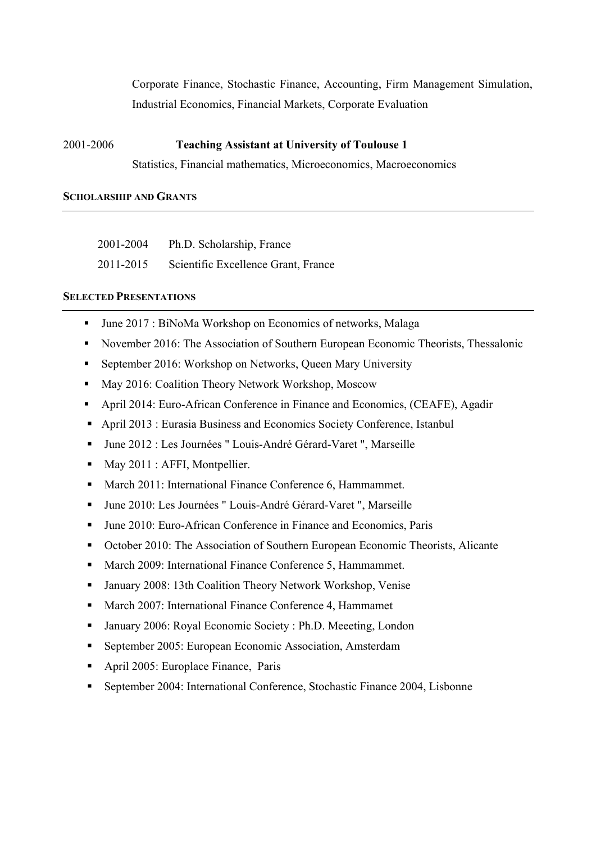Corporate Finance, Stochastic Finance, Accounting, Firm Management Simulation, Industrial Economics, Financial Markets, Corporate Evaluation

# 2001-2006 **Teaching Assistant at University of Toulouse 1**

Statistics, Financial mathematics, Microeconomics, Macroeconomics

### **SCHOLARSHIP AND GRANTS**

| 2001-2004 | Ph.D. Scholarship, France           |
|-----------|-------------------------------------|
| 2011-2015 | Scientific Excellence Grant, France |

# **SELECTED PRESENTATIONS**

- June 2017 : BiNoMa Workshop on Economics of networks, Malaga
- November 2016: The Association of Southern European Economic Theorists, Thessalonic
- September 2016: Workshop on Networks, Queen Mary University
- May 2016: Coalition Theory Network Workshop, Moscow
- April 2014: Euro-African Conference in Finance and Economics, (CEAFE), Agadir
- April 2013 : Eurasia Business and Economics Society Conference, Istanbul
- June 2012 : Les Journées " Louis-André Gérard-Varet ", Marseille
- May 2011 : AFFI, Montpellier.
- **March 2011: International Finance Conference 6, Hammammet.**
- June 2010: Les Journées " Louis-André Gérard-Varet ", Marseille
- June 2010: Euro-African Conference in Finance and Economics, Paris
- October 2010: The Association of Southern European Economic Theorists, Alicante
- March 2009: International Finance Conference 5, Hammammet.
- January 2008: 13th Coalition Theory Network Workshop, Venise
- **March 2007: International Finance Conference 4, Hammamet**
- January 2006: Royal Economic Society : Ph.D. Meeeting, London
- September 2005: European Economic Association, Amsterdam
- April 2005: Europlace Finance, Paris
- September 2004: International Conference, Stochastic Finance 2004, Lisbonne